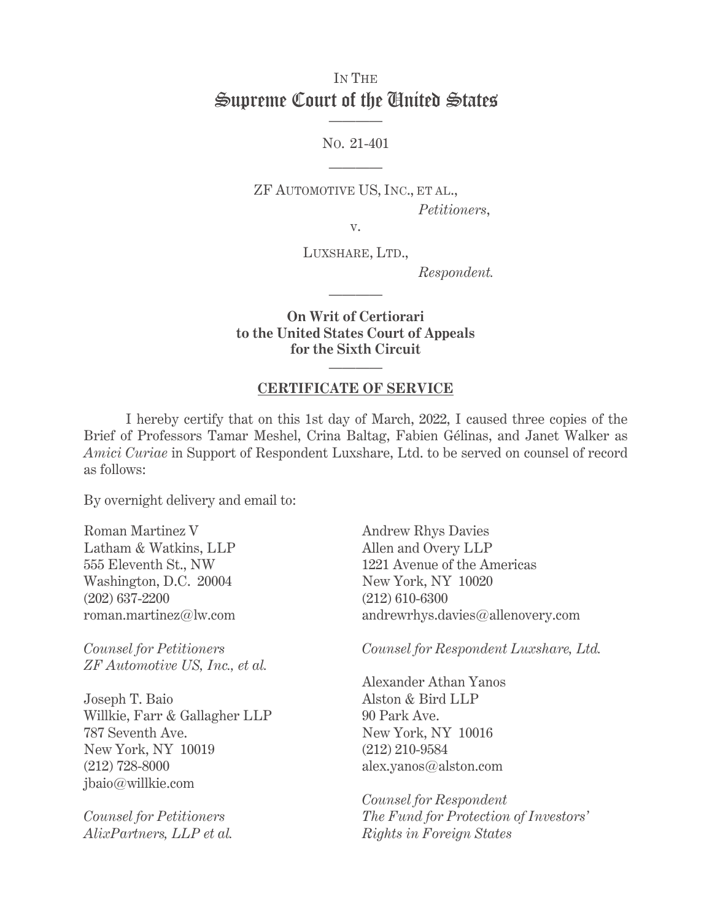## IN THE Supreme Court of the United States ————

NO. 21-401

————

ZF AUTOMOTIVE US, INC., ET AL.,  *Petitioners*,

v.

LUXSHARE, LTD.,

 *Respondent.* 

**On Writ of Certiorari to the United States Court of Appeals for the Sixth Circuit**

————

## ———— **CERTIFICATE OF SERVICE**

 I hereby certify that on this 1st day of March, 2022, I caused three copies of the Brief of Professors Tamar Meshel, Crina Baltag, Fabien Gélinas, and Janet Walker as *Amici Curiae* in Support of Respondent Luxshare, Ltd. to be served on counsel of record as follows:

By overnight delivery and email to:

Roman Martinez V Latham & Watkins, LLP 555 Eleventh St., NW Washington, D.C. 20004 (202) 637-2200 roman.martinez@lw.com

*Counsel for Petitioners ZF Automotive US, Inc., et al.* 

Joseph T. Baio Willkie, Farr & Gallagher LLP 787 Seventh Ave. New York, NY 10019 (212) 728-8000 jbaio@willkie.com

*Counsel for Petitioners AlixPartners, LLP et al.*  Andrew Rhys Davies Allen and Overy LLP 1221 Avenue of the Americas New York, NY 10020 (212) 610-6300 andrewrhys.davies@allenovery.com

*Counsel for Respondent Luxshare, Ltd.* 

Alexander Athan Yanos Alston & Bird LLP 90 Park Ave. New York, NY 10016 (212) 210-9584 alex.yanos@alston.com

*Counsel for Respondent The Fund for Protection of Investors' Rights in Foreign States*